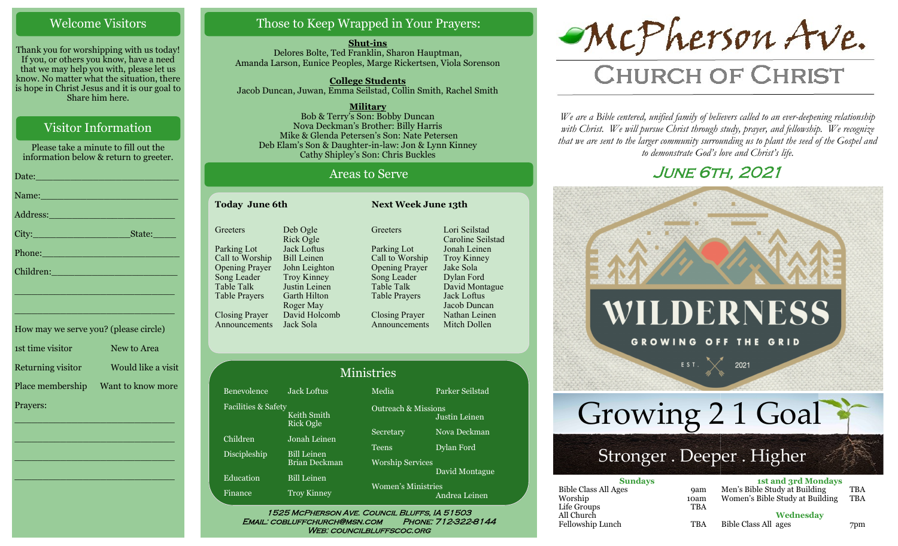### Welcome Visitors

Thank you for worshipping with us today! If you, or others you know, have a need that we may help you with, please let us know. No matter what the situation, there is hope in Christ Jesus and it is our goal to Share him here.

# Visitor Information

Please take a minute to fill out the information below & return to greeter.

| Name: Name and the second contract of the second contract of the second contract of the second contract of the                                                                                                                  |
|---------------------------------------------------------------------------------------------------------------------------------------------------------------------------------------------------------------------------------|
|                                                                                                                                                                                                                                 |
|                                                                                                                                                                                                                                 |
| Phone: New York Street, New York Street, New York Street, New York Street, New York Street, New York Street, N                                                                                                                  |
| Children: 2008 - 2008 - 2008 - 2019 - 2019 - 2019 - 2019 - 2019 - 2019 - 2019 - 2019 - 2019 - 2019 - 2019 - 20<br>2019 - 2019 - 2019 - 2019 - 2019 - 2019 - 2019 - 2019 - 2019 - 2019 - 2019 - 2019 - 2019 - 2019 - 2019 - 2019 |
| the control of the control of the control of the control of the control of the control of the control of the control of the control of the control of the control of the control of the control of the control of the control   |
| <u> 1989 - Johann John Stone, mars eta inperiodoren erroman (h. 1989).</u>                                                                                                                                                      |
|                                                                                                                                                                                                                                 |

| How may we serve you? (please circle) |                    |
|---------------------------------------|--------------------|
| 1st time visitor                      | New to Area        |
| Returning visitor                     | Would like a visit |
| Place membership                      | Want to know more  |
| Prayers:                              |                    |

\_\_\_\_\_\_\_\_\_\_\_\_\_\_\_\_\_\_\_\_\_\_\_\_\_\_\_\_

\_\_\_\_\_\_\_\_\_\_\_\_\_\_\_\_\_\_\_\_\_\_\_\_\_\_\_\_

\_\_\_\_\_\_\_\_\_\_\_\_\_\_\_\_\_\_\_\_\_\_\_\_\_\_\_\_

\_\_\_\_\_\_\_\_\_\_\_\_\_\_\_\_\_\_\_\_\_\_\_\_\_\_\_\_

# Those to Keep Wrapped in Your Prayers:

**Shut-ins** Delores Bolte, Ted Franklin, Sharon Hauptman, Amanda Larson, Eunice Peoples, Marge Rickertsen, Viola Sorenson

**College Students**  Jacob Duncan, Juwan, Emma Seilstad, Collin Smith, Rachel Smith

**Military** Bob & Terry's Son: Bobby Duncan Nova Deckman's Brother: Billy Harris Mike & Glenda Petersen's Son: Nate Petersen Deb Elam's Son & Daughter-in-law: Jon & Lynn Kinney Cathy Shipley's Son: Chris Buckles

### Areas to Serve

lstad

ague

| <b>Today June 6th</b> |                                 | <b>Next Week June 13th</b>        |                                  |                                    |
|-----------------------|---------------------------------|-----------------------------------|----------------------------------|------------------------------------|
|                       | Greeters                        | Deb Ogle<br>Rick Ogle             | Greeters                         | Lori Seilstad<br>Caroline Seilst   |
|                       | Parking Lot<br>Call to Worship  | Jack Loftus<br><b>Bill Leinen</b> | Parking Lot<br>Call to Worship   | Jonah Leinen<br><b>Troy Kinney</b> |
|                       | <b>Opening Prayer</b>           | John Leighton                     | <b>Opening Prayer</b>            | Jake Sola                          |
|                       | Song Leader<br>Table Talk       | Troy Kinney<br>Justin Leinen      | Song Leader<br><b>Table Talk</b> | Dylan Ford<br>David Montagu        |
|                       | <b>Table Prayers</b>            | Garth Hilton<br>Roger May         | Table Prayers                    | Jack Loftus<br>Jacob Duncan        |
|                       | Closing Prayer<br>Announcements | David Holcomb<br>Jack Sola        | Closing Prayer<br>Announcements  | Nathan Leinen<br>Mitch Dollen      |

| <b>Ministries</b>   |                                            |                                                 |                 |  |  |
|---------------------|--------------------------------------------|-------------------------------------------------|-----------------|--|--|
| Benevolence         | Jack Loftus                                | Media                                           | Parker Seilstad |  |  |
| Facilities & Safety | Keith Smith<br><b>Rick Ogle</b>            | <b>Outreach &amp; Missions</b><br>Justin Leinen |                 |  |  |
| Children            | Jonah Leinen                               | Secretary                                       | Nova Deckman    |  |  |
| Discipleship        | <b>Bill Leinen</b><br><b>Brian Deckman</b> | Teens<br><b>Worship Services</b>                | Dylan Ford      |  |  |
| Education           | <b>Bill Leinen</b>                         | David Montague                                  |                 |  |  |
| Finance             | <b>Troy Kinney</b>                         | <b>Women's Ministries</b>                       | Andrea Leinen   |  |  |

WEB: COUNCILBLUFFSCOC.ORG

McPherson Ave.

# **CHURCH OF CHRIST**

*We are a Bible centered, unified family of believers called to an ever-deepening relationship*  with Christ. We will pursue Christ through study, prayer, and fellowship. We recognize *that we are sent to the larger community surrounding us to plant the seed of the Gospel and to demonstrate God's love and Christ's life.*

# June 6th, 2021